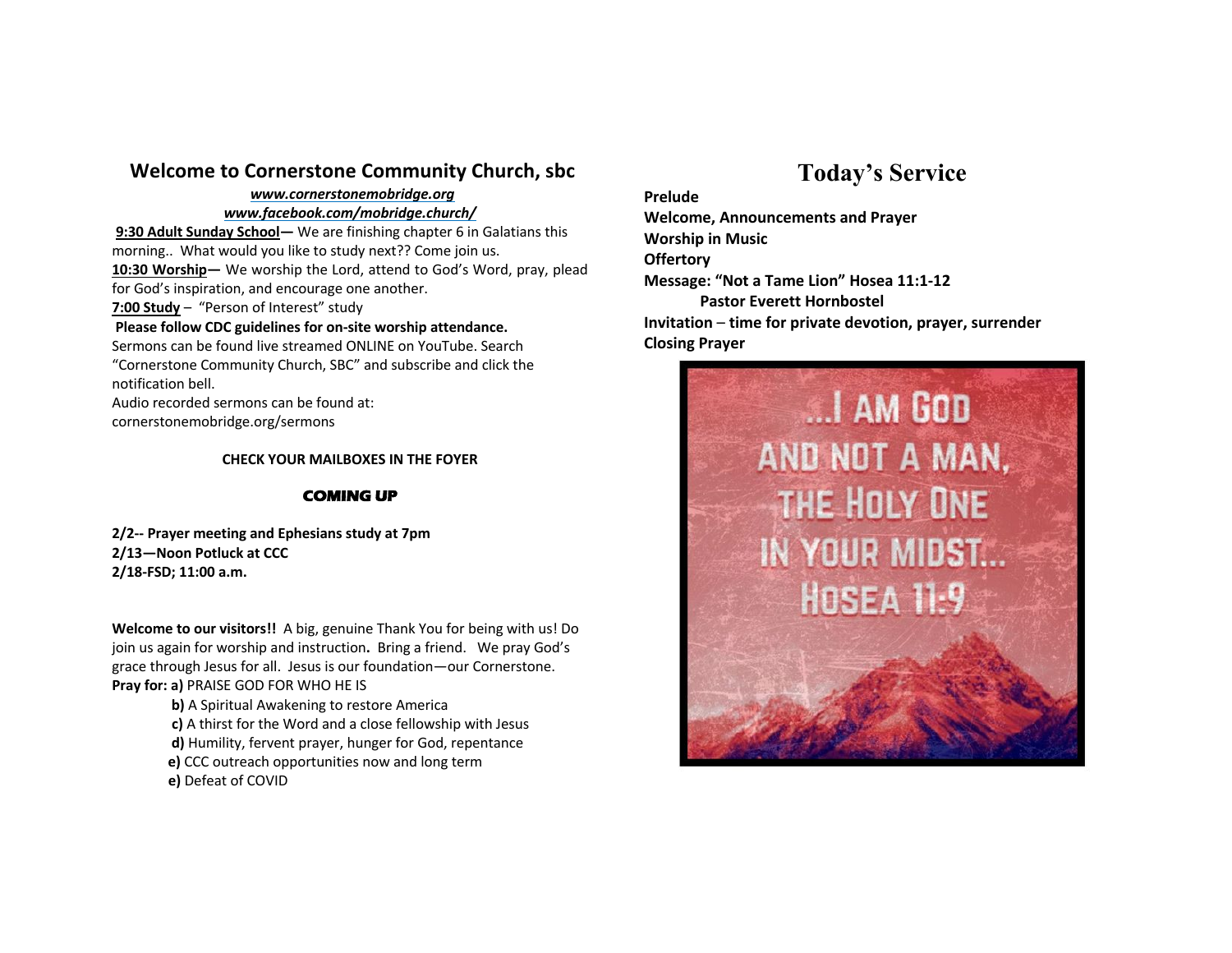### **Welcome to Cornerstone Community Church, sbc**

## *www.cornerstonemobridge.org*

#### *www.facebook.com/mobridge.church/*

**9:30 Adult Sunday School—** We are finishing chapter 6 in Galatians this morning.. What would you like to study next?? Come join us. **10:30 Worship—** We worship the Lord, attend to God's Word, pray, plead for God's inspiration, and encourage one another.

**7:00 Study** – "Person of Interest" study

#### **Please follow CDC guidelines for on-site worship attendance.**

Sermons can be found live streamed ONLINE on YouTube. Search "Cornerstone Community Church, SBC" and subscribe and click the notification bell.

Audio recorded sermons can be found at: cornerstonemobridge.org/sermons

#### **CHECK YOUR MAILBOXES IN THE FOYER**

#### **COMING UP**

**2/2-- Prayer meeting and Ephesians study at 7pm 2/13—Noon Potluck at CCC 2/18-FSD; 11:00 a.m.** 

**Welcome to our visitors!!** A big, genuine Thank You for being with us! Do join us again for worship and instruction**.** Bring a friend. We pray God's grace through Jesus for all. Jesus is our foundation—our Cornerstone. **Pray for: a)** PRAISE GOD FOR WHO HE IS

**b)** A Spiritual Awakening to restore America

**c)** A thirst for the Word and a close fellowship with Jesus

**d)** Humility, fervent prayer, hunger for God, repentance

- **e)** CCC outreach opportunities now and long term
- **e)** Defeat of COVID

# **Today's Service**

**Prelude Welcome, Announcements and Prayer Worship in Music Offertory Message: "Not a Tame Lion" Hosea 11:1-12 Pastor Everett Hornbostel Invitation** – **time for private devotion, prayer, surrender Closing Prayer**